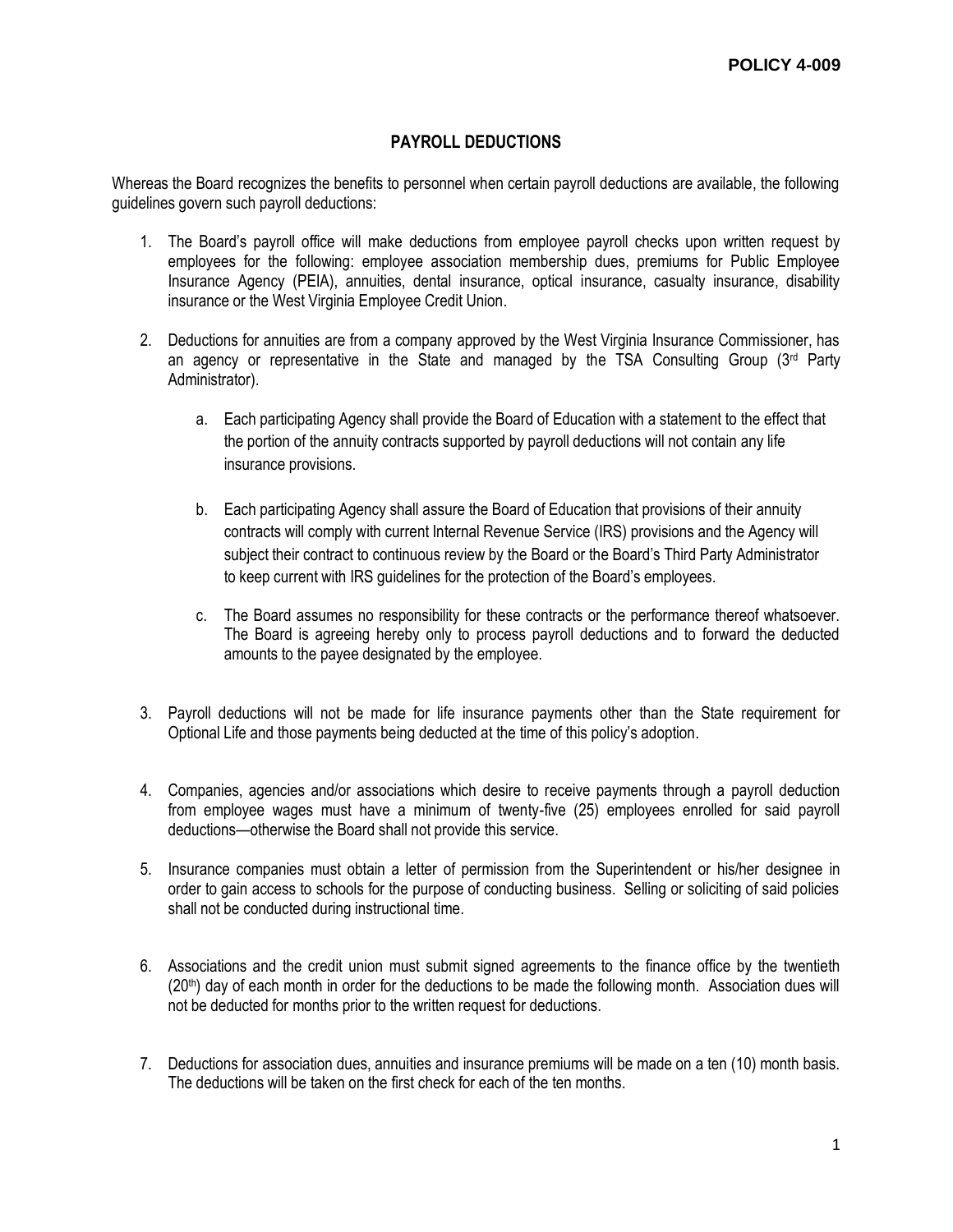## **PAYROLL DEDUCTIONS**

Whereas the Board recognizes the benefits to personnel when certain payroll deductions are available, the following guidelines govern such payroll deductions:

- 1. The Board's payroll office will make deductions from employee payroll checks upon written request by employees for the following: employee association membership dues, premiums for Public Employee Insurance Agency (PEIA), annuities, dental insurance, optical insurance, casualty insurance, disability insurance or the West Virginia Employee Credit Union.
- 2. Deductions for annuities are from a company approved by the West Virginia Insurance Commissioner, has an agency or representative in the State and managed by the TSA Consulting Group  $(3<sup>rd</sup>$  Party Administrator).
	- a. Each participating Agency shall provide the Board of Education with a statement to the effect that the portion of the annuity contracts supported by payroll deductions will not contain any life insurance provisions.
	- b. Each participating Agency shall assure the Board of Education that provisions of their annuity contracts will comply with current Internal Revenue Service (IRS) provisions and the Agency will subject their contract to continuous review by the Board or the Board's Third Party Administrator to keep current with IRS guidelines for the protection of the Board's employees.
	- c. The Board assumes no responsibility for these contracts or the performance thereof whatsoever. The Board is agreeing hereby only to process payroll deductions and to forward the deducted amounts to the payee designated by the employee.
- 3. Payroll deductions will not be made for life insurance payments other than the State requirement for Optional Life and those payments being deducted at the time of this policy's adoption.
- 4. Companies, agencies and/or associations which desire to receive payments through a payroll deduction from employee wages must have a minimum of twenty-five (25) employees enrolled for said payroll deductions—otherwise the Board shall not provide this service.
- 5. Insurance companies must obtain a letter of permission from the Superintendent or his/her designee in order to gain access to schools for the purpose of conducting business. Selling or soliciting of said policies shall not be conducted during instructional time.
- 6. Associations and the credit union must submit signed agreements to the finance office by the twentieth  $(20<sup>th</sup>)$  day of each month in order for the deductions to be made the following month. Association dues will not be deducted for months prior to the written request for deductions.
- 7. Deductions for association dues, annuities and insurance premiums will be made on a ten (10) month basis. The deductions will be taken on the first check for each of the ten months.